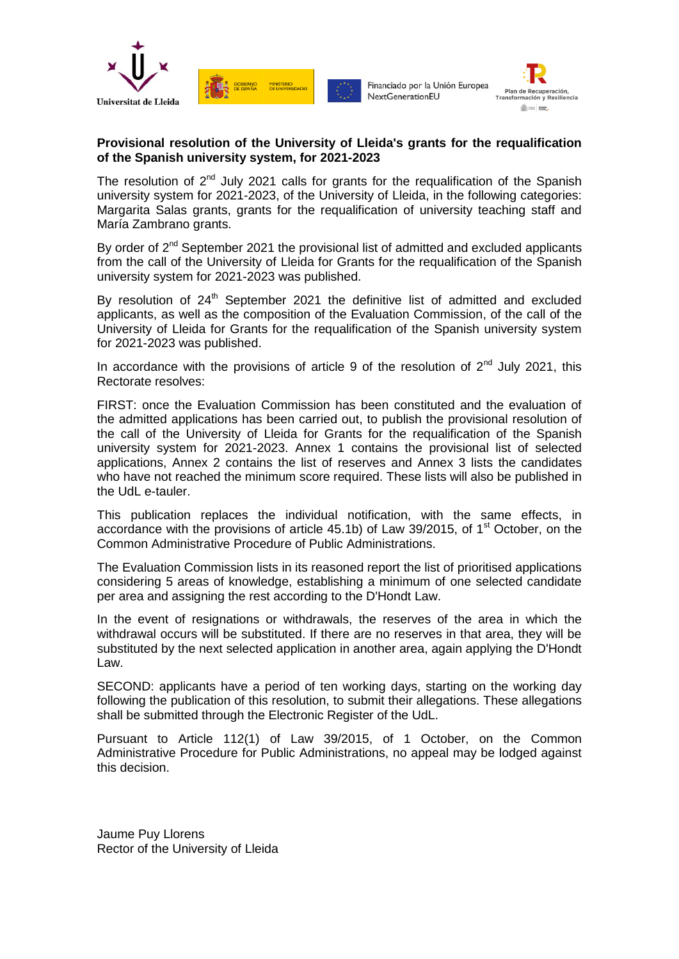

Financiado por la Unión Europea NextGenerationEU



#### **Provisional resolution of the University of Lleida's grants for the requalification of the Spanish university system, for 2021-2023**

The resolution of  $2^{nd}$  July 2021 calls for grants for the requalification of the Spanish university system for 2021-2023, of the University of Lleida, in the following categories: Margarita Salas grants, grants for the requalification of university teaching staff and María Zambrano grants.

By order of  $2<sup>nd</sup>$  September 2021 the provisional list of admitted and excluded applicants from the call of the University of Lleida for Grants for the requalification of the Spanish university system for 2021-2023 was published.

By resolution of 24<sup>th</sup> September 2021 the definitive list of admitted and excluded applicants, as well as the composition of the Evaluation Commission, of the call of the University of Lleida for Grants for the requalification of the Spanish university system for 2021-2023 was published.

In accordance with the provisions of article 9 of the resolution of  $2<sup>nd</sup>$  July 2021, this Rectorate resolves:

FIRST: once the Evaluation Commission has been constituted and the evaluation of the admitted applications has been carried out, to publish the provisional resolution of the call of the University of Lleida for Grants for the requalification of the Spanish university system for 2021-2023. Annex 1 contains the provisional list of selected applications, Annex 2 contains the list of reserves and Annex 3 lists the candidates who have not reached the minimum score required. These lists will also be published in the UdL e-tauler.

This publication replaces the individual notification, with the same effects, in accordance with the provisions of article  $45.1b$ ) of Law 39/2015, of 1<sup>st</sup> October, on the Common Administrative Procedure of Public Administrations.

The Evaluation Commission lists in its reasoned report the list of prioritised applications considering 5 areas of knowledge, establishing a minimum of one selected candidate per area and assigning the rest according to the D'Hondt Law.

In the event of resignations or withdrawals, the reserves of the area in which the withdrawal occurs will be substituted. If there are no reserves in that area, they will be substituted by the next selected application in another area, again applying the D'Hondt Law.

SECOND: applicants have a period of ten working days, starting on the working day following the publication of this resolution, to submit their allegations. These allegations shall be submitted through the Electronic Register of the UdL.

Pursuant to Article 112(1) of Law 39/2015, of 1 October, on the Common Administrative Procedure for Public Administrations, no appeal may be lodged against this decision.

Jaume Puy Llorens Rector of the University of Lleida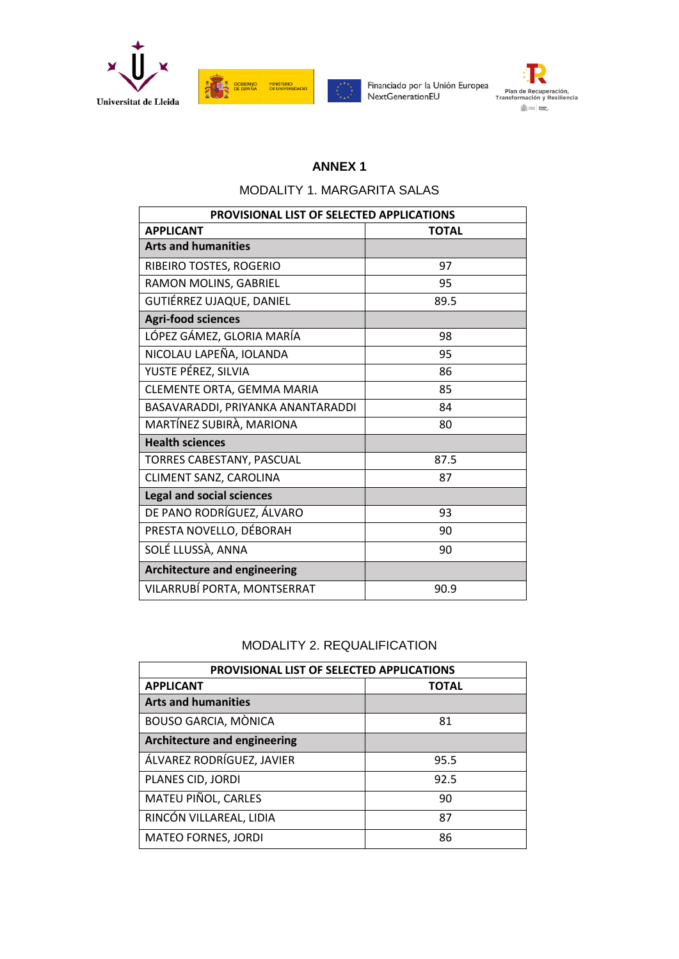



Financiado por la Unión Europea NextGenerationEU



## **ANNEX 1**

## MODALITY 1. MARGARITA SALAS

| <b>PROVISIONAL LIST OF SELECTED APPLICATIONS</b> |              |
|--------------------------------------------------|--------------|
| <b>APPLICANT</b>                                 | <b>TOTAL</b> |
| <b>Arts and humanities</b>                       |              |
| RIBEIRO TOSTES, ROGERIO                          | 97           |
| RAMON MOLINS, GABRIEL                            | 95           |
| GUTIÉRREZ UJAQUE, DANIEL                         | 89.5         |
| <b>Agri-food sciences</b>                        |              |
| LÓPEZ GÁMEZ, GLORIA MARÍA                        | 98           |
| NICOLAU LAPEÑA, IOLANDA                          | 95           |
| YUSTE PÉREZ, SILVIA                              | 86           |
| CLEMENTE ORTA, GEMMA MARIA                       | 85           |
| BASAVARADDI, PRIYANKA ANANTARADDI                | 84           |
| MARTÍNEZ SUBIRÀ, MARIONA                         | 80           |
| <b>Health sciences</b>                           |              |
| TORRES CABESTANY, PASCUAL                        | 87.5         |
| CLIMENT SANZ, CAROLINA                           | 87           |
| <b>Legal and social sciences</b>                 |              |
| DE PANO RODRÍGUEZ, ÁLVARO                        | 93           |
| PRESTA NOVELLO, DÉBORAH                          | 90           |
| SOLÉ LLUSSÀ, ANNA                                | 90           |
| <b>Architecture and engineering</b>              |              |
| VILARRUBÍ PORTA, MONTSERRAT                      | 90.9         |

# MODALITY 2. REQUALIFICATION

| PROVISIONAL LIST OF SELECTED APPLICATIONS |              |
|-------------------------------------------|--------------|
| <b>APPLICANT</b>                          | <b>TOTAL</b> |
| <b>Arts and humanities</b>                |              |
| <b>BOUSO GARCIA, MÒNICA</b>               | 81           |
| <b>Architecture and engineering</b>       |              |
| ÁLVAREZ RODRÍGUEZ, JAVIER                 | 95.5         |
| PLANES CID, JORDI                         | 92.5         |
| MATEU PIÑOL, CARLES                       | 90           |
| RINCÓN VILLAREAL, LIDIA                   | 87           |
| <b>MATEO FORNES, JORDI</b>                | 86           |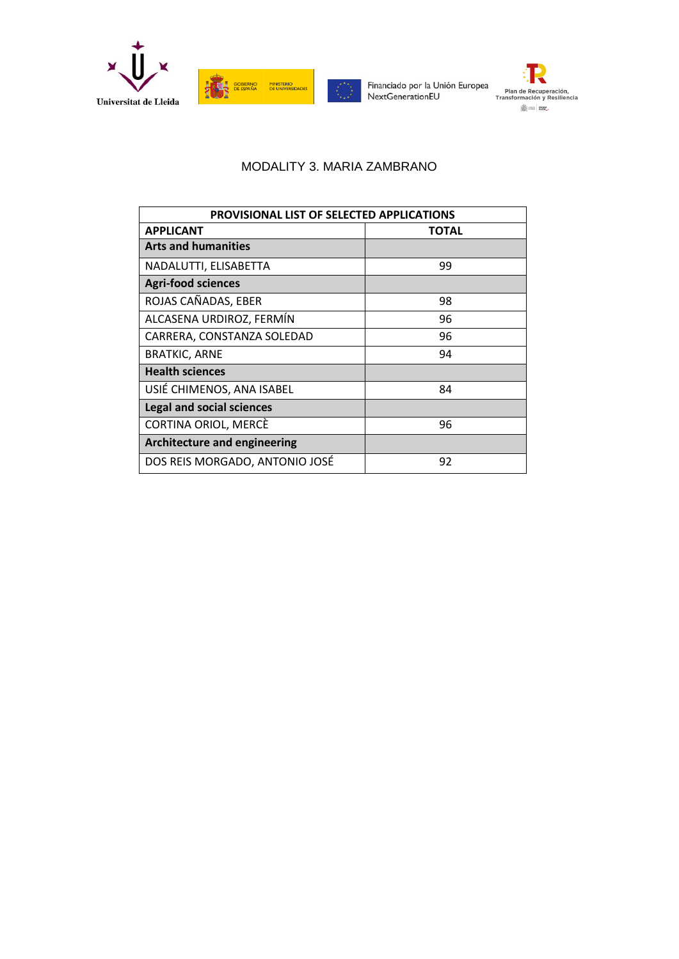

**AND SOBIERNO MINISTERIO**<br>**TENERE DE ESPAÑA DE UNIVERSIDADES** 

Financiado por la Unión Europea<br>NextGenerationEU

Plan de Recuperación,<br>Transformación y Resiliencia  $\frac{\sqrt{25}}{2502}$  mms  $\,$   $\,$  gauge

### MODALITY 3. MARIA ZAMBRANO

| <b>PROVISIONAL LIST OF SELECTED APPLICATIONS</b> |       |
|--------------------------------------------------|-------|
| <b>APPLICANT</b>                                 | TOTAL |
| <b>Arts and humanities</b>                       |       |
| NADALUTTI, ELISABETTA                            | 99    |
| <b>Agri-food sciences</b>                        |       |
| ROJAS CAÑADAS, EBER                              | 98    |
| ALCASENA URDIROZ, FERMÍN                         | 96    |
| CARRERA, CONSTANZA SOLEDAD                       | 96    |
| <b>BRATKIC, ARNE</b>                             | 94    |
| <b>Health sciences</b>                           |       |
| USIÉ CHIMENOS, ANA ISABEL                        | 84    |
| <b>Legal and social sciences</b>                 |       |
| CORTINA ORIOL, MERCÈ                             | 96    |
| <b>Architecture and engineering</b>              |       |
| DOS REIS MORGADO, ANTONIO JOSÉ                   | 92    |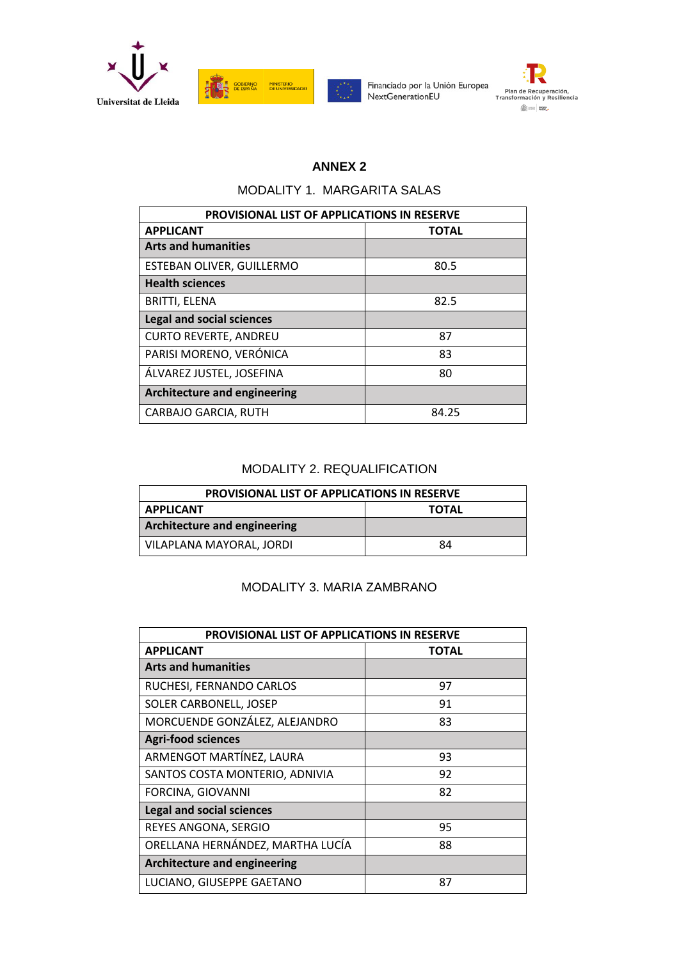



Financiado por la Unión Europea NextGenerationEU



## **ANNEX 2**

#### MODALITY 1. MARGARITA SALAS

| <b>PROVISIONAL LIST OF APPLICATIONS IN RESERVE</b> |              |
|----------------------------------------------------|--------------|
| <b>APPLICANT</b>                                   | <b>TOTAL</b> |
| <b>Arts and humanities</b>                         |              |
| ESTEBAN OLIVER, GUILLERMO                          | 80.5         |
| <b>Health sciences</b>                             |              |
| <b>BRITTI, ELENA</b>                               | 82.5         |
| <b>Legal and social sciences</b>                   |              |
| <b>CURTO REVERTE, ANDREU</b>                       | 87           |
| PARISI MORENO, VERÓNICA                            | 83           |
| ÁLVAREZ JUSTEL, JOSEFINA                           | 80           |
| <b>Architecture and engineering</b>                |              |
| CARBAJO GARCIA, RUTH                               | 84.25        |

## MODALITY 2. REQUALIFICATION

| <b>PROVISIONAL LIST OF APPLICATIONS IN RESERVE</b> |              |
|----------------------------------------------------|--------------|
| <b>APPLICANT</b>                                   | <b>TOTAL</b> |
| <b>Architecture and engineering</b>                |              |
| VILAPLANA MAYORAL, JORDI                           | 84           |

### MODALITY 3. MARIA ZAMBRANO

| <b>PROVISIONAL LIST OF APPLICATIONS IN RESERVE</b> |       |
|----------------------------------------------------|-------|
| <b>APPLICANT</b>                                   | TOTAL |
| <b>Arts and humanities</b>                         |       |
| RUCHESI, FERNANDO CARLOS                           | 97    |
| SOLER CARBONELL, JOSEP                             | 91    |
| MORCUENDE GONZÁLEZ, ALEJANDRO                      | 83    |
| <b>Agri-food sciences</b>                          |       |
| ARMENGOT MARTÍNEZ, LAURA                           | 93    |
| SANTOS COSTA MONTERIO, ADNIVIA                     | 92    |
| FORCINA, GIOVANNI                                  | 82    |
| <b>Legal and social sciences</b>                   |       |
| REYES ANGONA, SERGIO                               | 95    |
| ORELLANA HERNÁNDEZ, MARTHA LUCÍA                   | 88    |
| <b>Architecture and engineering</b>                |       |
| LUCIANO, GIUSEPPE GAETANO                          | 87    |